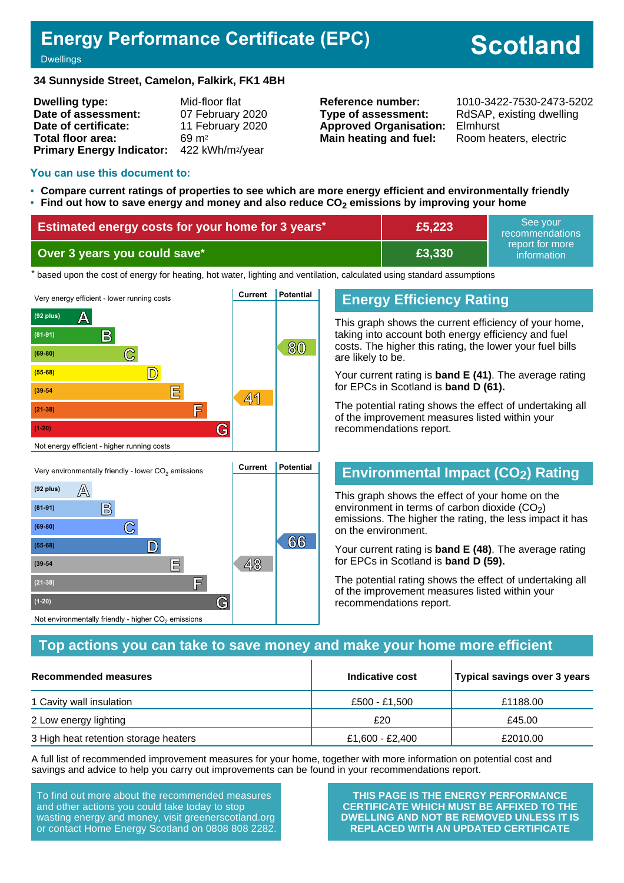# **Energy Performance Certificate (EPC)**

# **Scotland**

Dwellings

#### **34 Sunnyside Street, Camelon, Falkirk, FK1 4BH**

| <b>Dwelling type:</b>            | Mid-floor flat               |
|----------------------------------|------------------------------|
| Date of assessment:              | 07 February 2020             |
| Date of certificate:             | 11 February 2020             |
| Total floor area:                | $69 \text{ m}^2$             |
| <b>Primary Energy Indicator:</b> | 422 kWh/m <sup>2</sup> /year |

**Type of assessment:** RdSAP, existing dwelling **Approved Organisation:** Elmhurst **Main heating and fuel:** Room heaters, electric

**Reference number:** 1010-3422-7530-2473-5202

#### **You can use this document to:**

- **Compare current ratings of properties to see which are more energy efficient and environmentally friendly**
- **Find out how to save energy and money and also reduce CO2 emissions by improving your home**

| <b>Estimated energy costs for your home for 3 years*</b> | £5,223 | See vour<br>recommendations                 |
|----------------------------------------------------------|--------|---------------------------------------------|
| Over 3 years you could save*                             | £3,330 | report for more<br>information <sup>1</sup> |

the based upon the cost of energy for heating, hot water, lighting and ventilation, calculated using standard assumptions



# **Energy Efficiency Rating**

This graph shows the current efficiency of your home, taking into account both energy efficiency and fuel costs. The higher this rating, the lower your fuel bills are likely to be.

Your current rating is **band E (41)**. The average rating for EPCs in Scotland is **band D (61).**

The potential rating shows the effect of undertaking all of the improvement measures listed within your recommendations report.

# **Environmental Impact (CO2) Rating**

This graph shows the effect of your home on the environment in terms of carbon dioxide  $(CO<sub>2</sub>)$ emissions. The higher the rating, the less impact it has on the environment.

Your current rating is **band E (48)**. The average rating for EPCs in Scotland is **band D (59).**

The potential rating shows the effect of undertaking all of the improvement measures listed within your recommendations report.

### **Top actions you can take to save money and make your home more efficient**

| <b>Recommended measures</b>           | Indicative cost | Typical savings over 3 years |
|---------------------------------------|-----------------|------------------------------|
| 1 Cavity wall insulation              | £500 - £1.500   | £1188.00                     |
| 2 Low energy lighting                 | £20             | £45.00                       |
| 3 High heat retention storage heaters | £1,600 - £2,400 | £2010.00                     |

A full list of recommended improvement measures for your home, together with more information on potential cost and savings and advice to help you carry out improvements can be found in your recommendations report.

To find out more about the recommended measures and other actions you could take today to stop wasting energy and money, visit greenerscotland.org or contact Home Energy Scotland on 0808 808 2282.

**(39-54 E 48**

**(21-38) F**

Not environmentally friendly - higher  $\mathrm{CO}_2$  emissions

**(1-20) G**

**THIS PAGE IS THE ENERGY PERFORMANCE CERTIFICATE WHICH MUST BE AFFIXED TO THE DWELLING AND NOT BE REMOVED UNLESS IT IS REPLACED WITH AN UPDATED CERTIFICATE**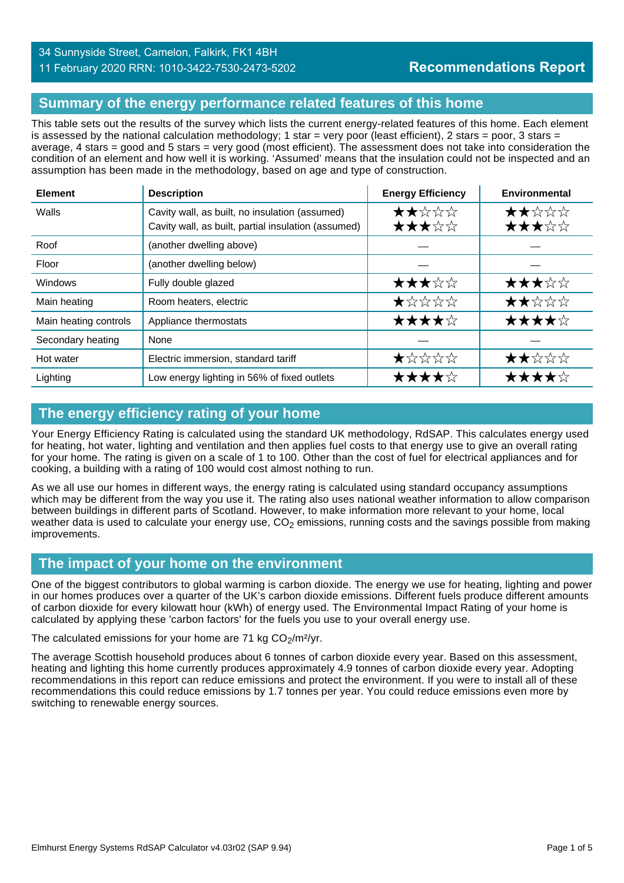# 34 Sunnyside Street, Camelon, Falkirk, FK1 4BH

# **Recommendations Report**

11 February 2020 RRN: 1010-3422-7530-2473-5202

# **Summary of the energy performance related features of this home**

This table sets out the results of the survey which lists the current energy-related features of this home. Each element is assessed by the national calculation methodology; 1 star = very poor (least efficient), 2 stars = poor, 3 stars = average, 4 stars = good and 5 stars = very good (most efficient). The assessment does not take into consideration the condition of an element and how well it is working. 'Assumed' means that the insulation could not be inspected and an assumption has been made in the methodology, based on age and type of construction.

| <b>Element</b>        | <b>Description</b>                                                                                    | <b>Energy Efficiency</b> | Environmental  |
|-----------------------|-------------------------------------------------------------------------------------------------------|--------------------------|----------------|
| Walls                 | Cavity wall, as built, no insulation (assumed)<br>Cavity wall, as built, partial insulation (assumed) | ★★☆☆☆<br>★★★☆☆           | ★★☆☆☆<br>★★★☆☆ |
| Roof                  | (another dwelling above)                                                                              |                          |                |
| Floor                 | (another dwelling below)                                                                              |                          |                |
| Windows               | Fully double glazed                                                                                   | ★★★☆☆                    | ★★★☆☆          |
| Main heating          | Room heaters, electric                                                                                | $\bigstar$ * * * *       | ★★☆☆☆          |
| Main heating controls | Appliance thermostats                                                                                 | ★★★★☆                    | ★★★★☆          |
| Secondary heating     | None                                                                                                  |                          |                |
| Hot water             | Electric immersion, standard tariff                                                                   | ★☆☆☆☆                    | ★★☆☆☆          |
| Lighting              | Low energy lighting in 56% of fixed outlets                                                           | ★★★★☆                    | ★★★★☆          |

# **The energy efficiency rating of your home**

Your Energy Efficiency Rating is calculated using the standard UK methodology, RdSAP. This calculates energy used for heating, hot water, lighting and ventilation and then applies fuel costs to that energy use to give an overall rating for your home. The rating is given on a scale of 1 to 100. Other than the cost of fuel for electrical appliances and for cooking, a building with a rating of 100 would cost almost nothing to run.

As we all use our homes in different ways, the energy rating is calculated using standard occupancy assumptions which may be different from the way you use it. The rating also uses national weather information to allow comparison between buildings in different parts of Scotland. However, to make information more relevant to your home, local weather data is used to calculate your energy use,  $CO<sub>2</sub>$  emissions, running costs and the savings possible from making improvements.

# **The impact of your home on the environment**

One of the biggest contributors to global warming is carbon dioxide. The energy we use for heating, lighting and power in our homes produces over a quarter of the UK's carbon dioxide emissions. Different fuels produce different amounts of carbon dioxide for every kilowatt hour (kWh) of energy used. The Environmental Impact Rating of your home is calculated by applying these 'carbon factors' for the fuels you use to your overall energy use.

#### The calculated emissions for your home are 71 kg  $CO<sub>2</sub>/m<sup>2</sup>/yr$ .

The average Scottish household produces about 6 tonnes of carbon dioxide every year. Based on this assessment, heating and lighting this home currently produces approximately 4.9 tonnes of carbon dioxide every year. Adopting recommendations in this report can reduce emissions and protect the environment. If you were to install all of these recommendations this could reduce emissions by 1.7 tonnes per year. You could reduce emissions even more by switching to renewable energy sources.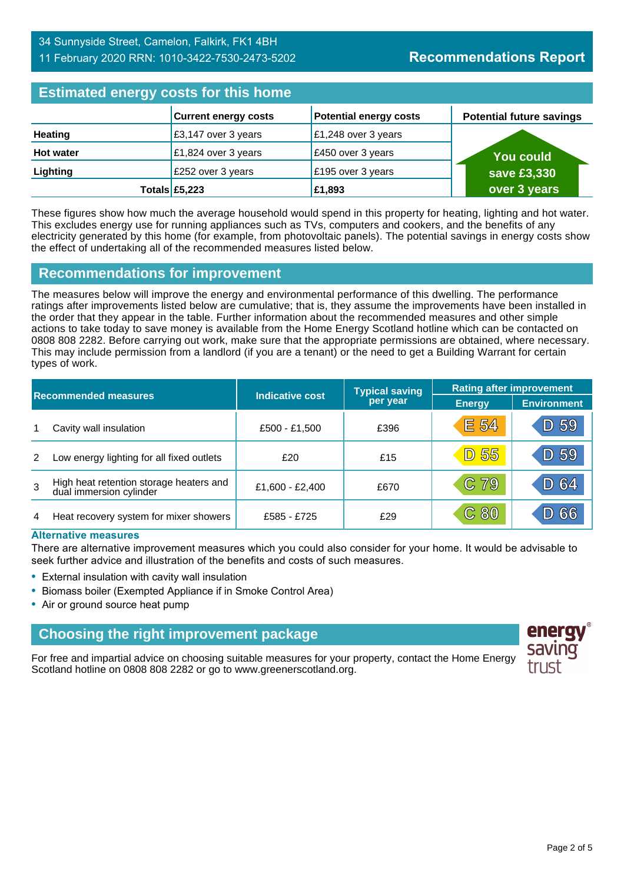### 34 Sunnyside Street, Camelon, Falkirk, FK1 4BH 11 February 2020 RRN: 1010-3422-7530-2473-5202

# **Estimated energy costs for this home**

| <b>EDITION OF STRING AND TO MANY HOLDING</b> |                              |                               |                                 |  |
|----------------------------------------------|------------------------------|-------------------------------|---------------------------------|--|
|                                              | <b>Current energy costs</b>  | <b>Potential energy costs</b> | <b>Potential future savings</b> |  |
| <b>Heating</b>                               | $\sqrt{23,147}$ over 3 years | £1,248 over 3 years           |                                 |  |
| <b>Hot water</b>                             | £1,824 over 3 years          | £450 over 3 years             | <b>You could</b>                |  |
| Lighting                                     | £252 over 3 years            | £195 over 3 years             | save £3,330                     |  |
|                                              | Totals £5,223                | £1,893                        | over 3 years                    |  |

These figures show how much the average household would spend in this property for heating, lighting and hot water. This excludes energy use for running appliances such as TVs, computers and cookers, and the benefits of any electricity generated by this home (for example, from photovoltaic panels). The potential savings in energy costs show the effect of undertaking all of the recommended measures listed below.

### **Recommendations for improvement**

The measures below will improve the energy and environmental performance of this dwelling. The performance ratings after improvements listed below are cumulative; that is, they assume the improvements have been installed in the order that they appear in the table. Further information about the recommended measures and other simple actions to take today to save money is available from the Home Energy Scotland hotline which can be contacted on 0808 808 2282. Before carrying out work, make sure that the appropriate permissions are obtained, where necessary. This may include permission from a landlord (if you are a tenant) or the need to get a Building Warrant for certain types of work.

| <b>Recommended measures</b> |                                                                    |                        | <b>Typical saving</b> | <b>Rating after improvement</b> |                    |
|-----------------------------|--------------------------------------------------------------------|------------------------|-----------------------|---------------------------------|--------------------|
|                             |                                                                    | <b>Indicative cost</b> | per year              | <b>Energy</b>                   | <b>Environment</b> |
|                             | Cavity wall insulation                                             | £500 - £1,500          | £396                  | E 54                            | D 59               |
| 2                           | Low energy lighting for all fixed outlets                          | £20                    | £15                   | <b>D 55</b>                     | D 59               |
| 3                           | High heat retention storage heaters and<br>dual immersion cylinder | £1,600 - £2,400        | £670                  | C 79                            | D 64               |
| 4                           | Heat recovery system for mixer showers                             | £585 - £725            | £29                   | C80                             | 66                 |

#### **Alternative measures**

There are alternative improvement measures which you could also consider for your home. It would be advisable to seek further advice and illustration of the benefits and costs of such measures.

- External insulation with cavity wall insulation
- Biomass boiler (Exempted Appliance if in Smoke Control Area)
- Air or ground source heat pump

# **Choosing the right improvement package**

For free and impartial advice on choosing suitable measures for your property, contact the Home Energy Scotland hotline on 0808 808 2282 or go to www.greenerscotland.org.

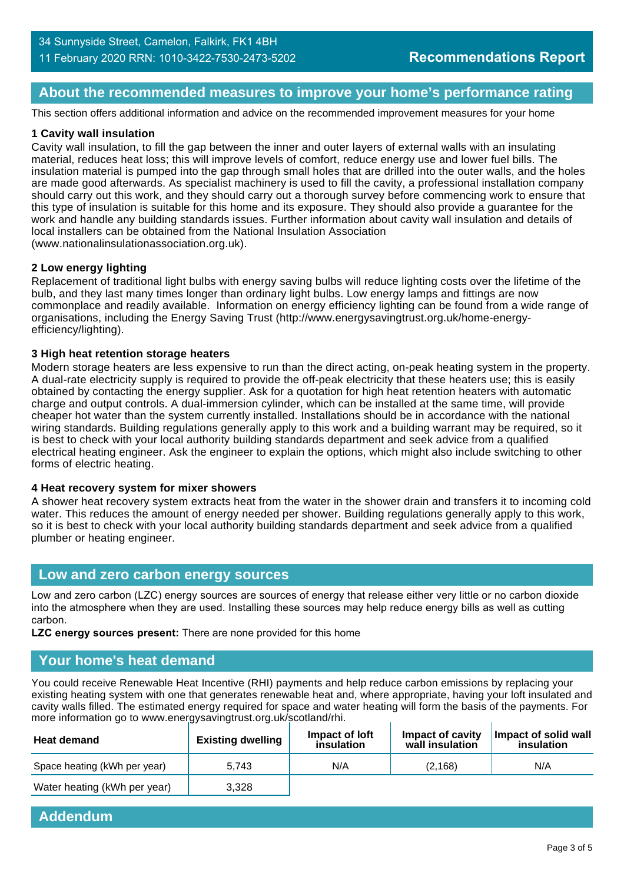# **About the recommended measures to improve your home's performance rating**

This section offers additional information and advice on the recommended improvement measures for your home

#### **1 Cavity wall insulation**

Cavity wall insulation, to fill the gap between the inner and outer layers of external walls with an insulating material, reduces heat loss; this will improve levels of comfort, reduce energy use and lower fuel bills. The insulation material is pumped into the gap through small holes that are drilled into the outer walls, and the holes are made good afterwards. As specialist machinery is used to fill the cavity, a professional installation company should carry out this work, and they should carry out a thorough survey before commencing work to ensure that this type of insulation is suitable for this home and its exposure. They should also provide a guarantee for the work and handle any building standards issues. Further information about cavity wall insulation and details of local installers can be obtained from the National Insulation Association (www.nationalinsulationassociation.org.uk).

#### **2 Low energy lighting**

Replacement of traditional light bulbs with energy saving bulbs will reduce lighting costs over the lifetime of the bulb, and they last many times longer than ordinary light bulbs. Low energy lamps and fittings are now commonplace and readily available. Information on energy efficiency lighting can be found from a wide range of organisations, including the Energy Saving Trust (http://www.energysavingtrust.org.uk/home-energyefficiency/lighting).

#### **3 High heat retention storage heaters**

Modern storage heaters are less expensive to run than the direct acting, on-peak heating system in the property. A dual-rate electricity supply is required to provide the off-peak electricity that these heaters use; this is easily obtained by contacting the energy supplier. Ask for a quotation for high heat retention heaters with automatic charge and output controls. A dual-immersion cylinder, which can be installed at the same time, will provide cheaper hot water than the system currently installed. Installations should be in accordance with the national wiring standards. Building regulations generally apply to this work and a building warrant may be required, so it is best to check with your local authority building standards department and seek advice from a qualified electrical heating engineer. Ask the engineer to explain the options, which might also include switching to other forms of electric heating.

#### **4 Heat recovery system for mixer showers**

A shower heat recovery system extracts heat from the water in the shower drain and transfers it to incoming cold water. This reduces the amount of energy needed per shower. Building regulations generally apply to this work, so it is best to check with your local authority building standards department and seek advice from a qualified plumber or heating engineer.

#### **Low and zero carbon energy sources**

Low and zero carbon (LZC) energy sources are sources of energy that release either very little or no carbon dioxide into the atmosphere when they are used. Installing these sources may help reduce energy bills as well as cutting carbon.

**LZC energy sources present:** There are none provided for this home

#### **Your home's heat demand**

You could receive Renewable Heat Incentive (RHI) payments and help reduce carbon emissions by replacing your existing heating system with one that generates renewable heat and, where appropriate, having your loft insulated and cavity walls filled. The estimated energy required for space and water heating will form the basis of the payments. For more information go to www.energysavingtrust.org.uk/scotland/rhi.

| <b>Heat demand</b>           | <b>Existing dwelling</b> | Impact of loft<br>insulation | Impact of cavity<br>wall insulation | Impact of solid wall<br>insulation |
|------------------------------|--------------------------|------------------------------|-------------------------------------|------------------------------------|
| Space heating (kWh per year) | 5.743                    | N/A                          | (2.168)                             | N/A                                |
| Water heating (kWh per year) | 3.328                    |                              |                                     |                                    |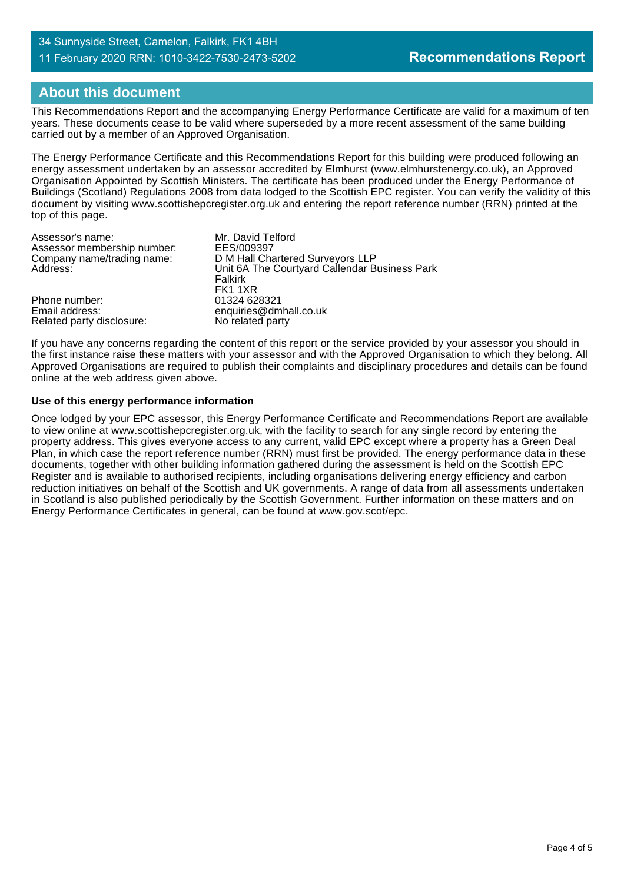#### 34 Sunnyside Street, Camelon, Falkirk, FK1 4BH 11 February 2020 RRN: 1010-3422-7530-2473-5202

# **About this document**

This Recommendations Report and the accompanying Energy Performance Certificate are valid for a maximum of ten years. These documents cease to be valid where superseded by a more recent assessment of the same building carried out by a member of an Approved Organisation.

The Energy Performance Certificate and this Recommendations Report for this building were produced following an energy assessment undertaken by an assessor accredited by Elmhurst (www.elmhurstenergy.co.uk), an Approved Organisation Appointed by Scottish Ministers. The certificate has been produced under the Energy Performance of Buildings (Scotland) Regulations 2008 from data lodged to the Scottish EPC register. You can verify the validity of this document by visiting www.scottishepcregister.org.uk and entering the report reference number (RRN) printed at the top of this page.

| Assessor's name:            | Mr. David Telford                             |
|-----------------------------|-----------------------------------------------|
| Assessor membership number: | EES/009397                                    |
| Company name/trading name:  | D M Hall Chartered Surveyors LLP              |
| Address:                    | Unit 6A The Courtyard Callendar Business Park |
|                             | Falkirk                                       |
|                             | FK1 1XR                                       |
| Phone number:               | 01324 628321                                  |
| Email address:              | enquiries@dmhall.co.uk                        |
| Related party disclosure:   | No related party                              |

If you have any concerns regarding the content of this report or the service provided by your assessor you should in the first instance raise these matters with your assessor and with the Approved Organisation to which they belong. All Approved Organisations are required to publish their complaints and disciplinary procedures and details can be found online at the web address given above.

#### **Use of this energy performance information**

Once lodged by your EPC assessor, this Energy Performance Certificate and Recommendations Report are available to view online at www.scottishepcregister.org.uk, with the facility to search for any single record by entering the property address. This gives everyone access to any current, valid EPC except where a property has a Green Deal Plan, in which case the report reference number (RRN) must first be provided. The energy performance data in these documents, together with other building information gathered during the assessment is held on the Scottish EPC Register and is available to authorised recipients, including organisations delivering energy efficiency and carbon reduction initiatives on behalf of the Scottish and UK governments. A range of data from all assessments undertaken in Scotland is also published periodically by the Scottish Government. Further information on these matters and on Energy Performance Certificates in general, can be found at www.gov.scot/epc.